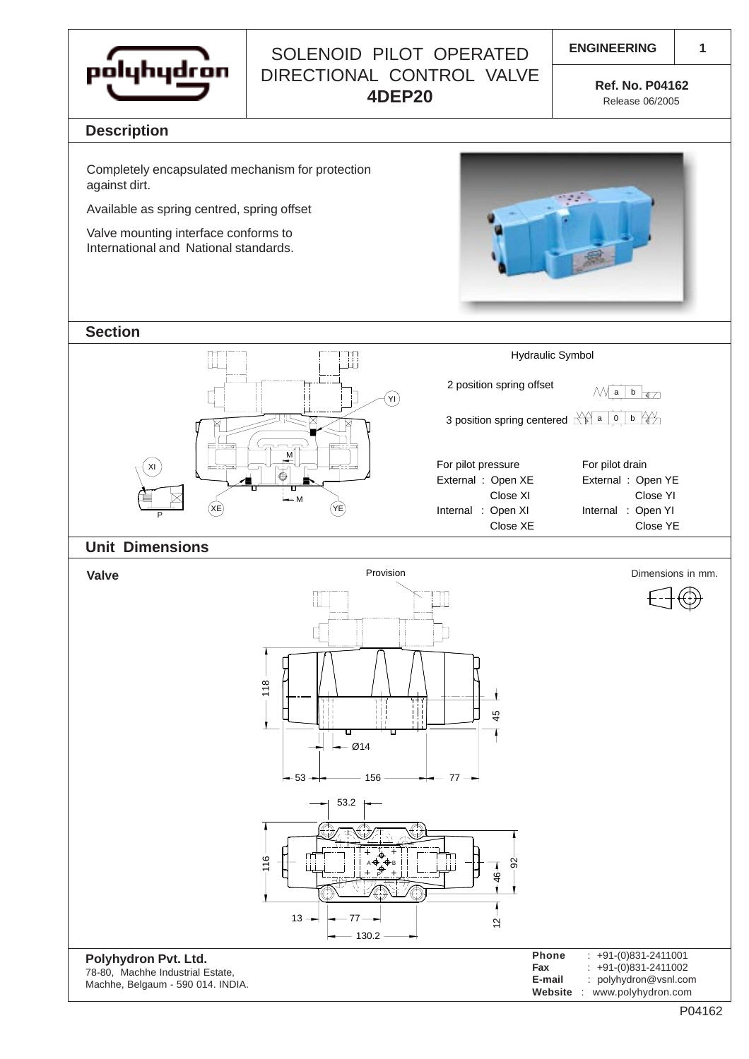

## SOLENOID PILOT OPERATED | ENGINEERING DIRECTIONAL CONTROL VALVE **4DEP20 Ref. No. P04162**

**1**

Release 06/2005

#### **Description**

Completely encapsulated mechanism for protection against dirt.

Available as spring centred, spring offset

Valve mounting interface conforms to International and National standards.



**Section**



#### **Unit Dimensions**

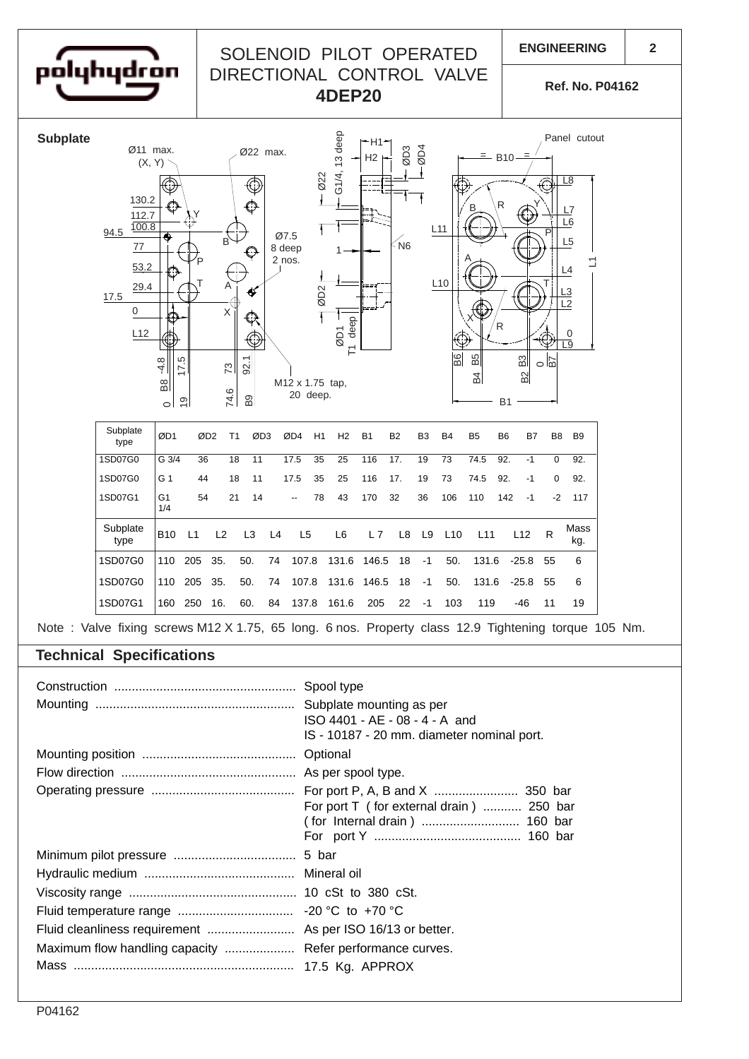

# SOLENOID PILOT OPERATED | ENGINEERING DIRECTIONAL CONTROL VALVE **4DEP20 Ref. No. P04162**

**2**



### **Technical Specifications**

|                                                           | Spool type<br>ISO 4401 - AE - 08 - 4 - A and<br>IS - 10187 - 20 mm. diameter nominal port. |
|-----------------------------------------------------------|--------------------------------------------------------------------------------------------|
|                                                           | Optional                                                                                   |
|                                                           |                                                                                            |
|                                                           | For port T (for external drain)  250 bar                                                   |
|                                                           | 5 bar                                                                                      |
|                                                           |                                                                                            |
|                                                           |                                                                                            |
|                                                           |                                                                                            |
|                                                           |                                                                                            |
| Maximum flow handling capacity  Refer performance curves. |                                                                                            |
|                                                           |                                                                                            |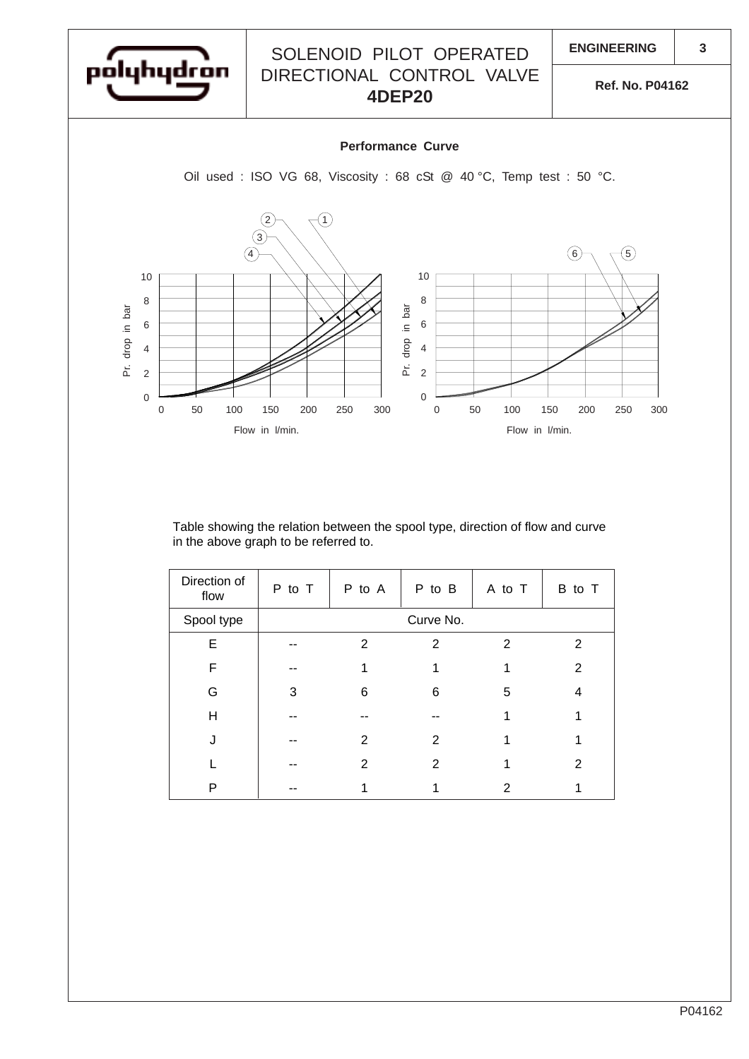

#### Table showing the relation between the spool type, direction of flow and curve in the above graph to be referred to.

| Direction of<br>flow | P to T    | P to A | P to B | A to T | B to T         |  |
|----------------------|-----------|--------|--------|--------|----------------|--|
| Spool type           | Curve No. |        |        |        |                |  |
| E                    |           | 2      | 2      | 2      | 2              |  |
| F                    |           |        |        |        | 2              |  |
| G                    | 3         | 6      | 6      | 5      | 4              |  |
| H                    |           |        |        |        |                |  |
|                      |           | 2      | 2      |        |                |  |
|                      |           | 2      | 2      |        | $\overline{2}$ |  |
| P                    |           |        |        | 2      |                |  |